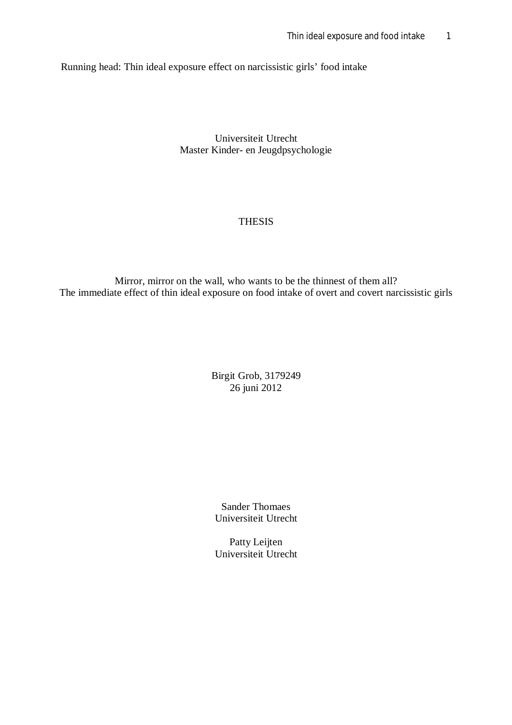Running head: Thin ideal exposure effect on narcissistic girls' food intake

Universiteit Utrecht Master Kinder- en Jeugdpsychologie

# THESIS

Mirror, mirror on the wall, who wants to be the thinnest of them all? The immediate effect of thin ideal exposure on food intake of overt and covert narcissistic girls

> Birgit Grob, 3179249 26 juni 2012

Sander Thomaes Universiteit Utrecht

Patty Leijten Universiteit Utrecht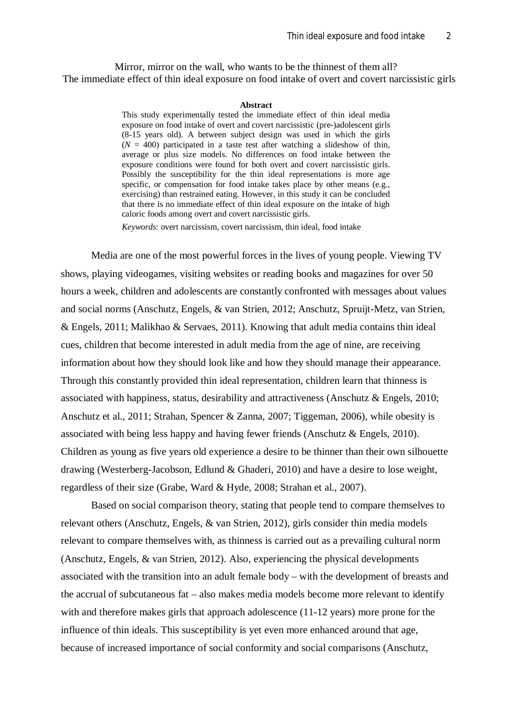Mirror, mirror on the wall, who wants to be the thinnest of them all? The immediate effect of thin ideal exposure on food intake of overt and covert narcissistic girls

#### **Abstract**

This study experimentally tested the immediate effect of thin ideal media exposure on food intake of overt and covert narcissistic (pre-)adolescent girls (8-15 years old). A between subject design was used in which the girls  $(N = 400)$  participated in a taste test after watching a slideshow of thin, average or plus size models. No differences on food intake between the exposure conditions were found for both overt and covert narcissistic girls. Possibly the susceptibility for the thin ideal representations is more age specific, or compensation for food intake takes place by other means (e.g., exercising) than restrained eating. However, in this study it can be concluded that there is no immediate effect of thin ideal exposure on the intake of high caloric foods among overt and covert narcissistic girls.

*Keywords*: overt narcissism, covert narcissism, thin ideal, food intake

Media are one of the most powerful forces in the lives of young people. Viewing TV shows, playing videogames, visiting websites or reading books and magazines for over 50 hours a week, children and adolescents are constantly confronted with messages about values and social norms (Anschutz, Engels, & van Strien, 2012; Anschutz, Spruijt-Metz, van Strien, & Engels, 2011; Malikhao & Servaes, 2011). Knowing that adult media contains thin ideal cues, children that become interested in adult media from the age of nine, are receiving information about how they should look like and how they should manage their appearance. Through this constantly provided thin ideal representation, children learn that thinness is associated with happiness, status, desirability and attractiveness (Anschutz & Engels, 2010; Anschutz et al., 2011; Strahan, Spencer & Zanna, 2007; Tiggeman, 2006), while obesity is associated with being less happy and having fewer friends (Anschutz & Engels, 2010). Children as young as five years old experience a desire to be thinner than their own silhouette drawing (Westerberg-Jacobson, Edlund & Ghaderi, 2010) and have a desire to lose weight, regardless of their size (Grabe, Ward & Hyde, 2008; Strahan et al., 2007).

Based on social comparison theory, stating that people tend to compare themselves to relevant others (Anschutz, Engels, & van Strien, 2012), girls consider thin media models relevant to compare themselves with, as thinness is carried out as a prevailing cultural norm (Anschutz, Engels, & van Strien, 2012). Also, experiencing the physical developments associated with the transition into an adult female body – with the development of breasts and the accrual of subcutaneous fat – also makes media models become more relevant to identify with and therefore makes girls that approach adolescence (11-12 years) more prone for the influence of thin ideals. This susceptibility is yet even more enhanced around that age, because of increased importance of social conformity and social comparisons (Anschutz,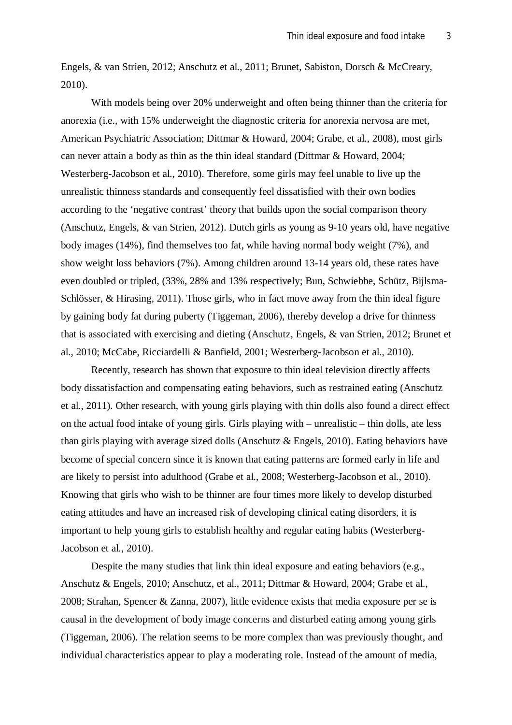Engels, & van Strien, 2012; Anschutz et al., 2011; Brunet, Sabiston, Dorsch & McCreary, 2010).

With models being over 20% underweight and often being thinner than the criteria for anorexia (i.e., with 15% underweight the diagnostic criteria for anorexia nervosa are met, American Psychiatric Association; Dittmar & Howard, 2004; Grabe, et al., 2008), most girls can never attain a body as thin as the thin ideal standard (Dittmar & Howard, 2004; Westerberg-Jacobson et al., 2010). Therefore, some girls may feel unable to live up the unrealistic thinness standards and consequently feel dissatisfied with their own bodies according to the 'negative contrast' theory that builds upon the social comparison theory (Anschutz, Engels, & van Strien, 2012). Dutch girls as young as 9-10 years old, have negative body images (14%), find themselves too fat, while having normal body weight (7%), and show weight loss behaviors (7%). Among children around 13-14 years old, these rates have even doubled or tripled, (33%, 28% and 13% respectively; Bun, Schwiebbe, Schütz, Bijlsma-Schlösser, & Hirasing, 2011). Those girls, who in fact move away from the thin ideal figure by gaining body fat during puberty (Tiggeman, 2006), thereby develop a drive for thinness that is associated with exercising and dieting (Anschutz, Engels, & van Strien, 2012; Brunet et al., 2010; McCabe, Ricciardelli & Banfield, 2001; Westerberg-Jacobson et al., 2010).

Recently, research has shown that exposure to thin ideal television directly affects body dissatisfaction and compensating eating behaviors, such as restrained eating (Anschutz et al., 2011). Other research, with young girls playing with thin dolls also found a direct effect on the actual food intake of young girls. Girls playing with – unrealistic – thin dolls, ate less than girls playing with average sized dolls (Anschutz & Engels, 2010). Eating behaviors have become of special concern since it is known that eating patterns are formed early in life and are likely to persist into adulthood (Grabe et al., 2008; Westerberg-Jacobson et al., 2010). Knowing that girls who wish to be thinner are four times more likely to develop disturbed eating attitudes and have an increased risk of developing clinical eating disorders, it is important to help young girls to establish healthy and regular eating habits (Westerberg-Jacobson et al., 2010).

Despite the many studies that link thin ideal exposure and eating behaviors (e.g., Anschutz & Engels, 2010; Anschutz, et al., 2011; Dittmar & Howard, 2004; Grabe et al., 2008; Strahan, Spencer & Zanna, 2007), little evidence exists that media exposure per se is causal in the development of body image concerns and disturbed eating among young girls (Tiggeman, 2006). The relation seems to be more complex than was previously thought, and individual characteristics appear to play a moderating role. Instead of the amount of media,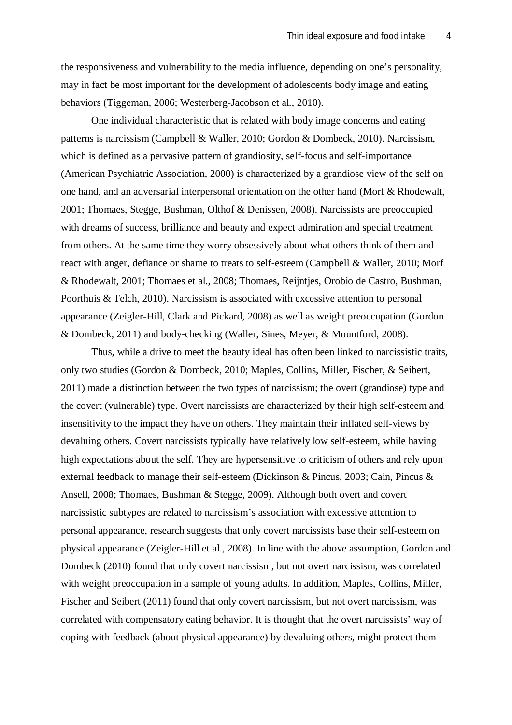the responsiveness and vulnerability to the media influence, depending on one's personality, may in fact be most important for the development of adolescents body image and eating behaviors (Tiggeman, 2006; Westerberg-Jacobson et al., 2010).

One individual characteristic that is related with body image concerns and eating patterns is narcissism (Campbell & Waller, 2010; Gordon & Dombeck, 2010). Narcissism, which is defined as a pervasive pattern of grandiosity, self-focus and self-importance (American Psychiatric Association, 2000) is characterized by a grandiose view of the self on one hand, and an adversarial interpersonal orientation on the other hand (Morf & Rhodewalt, 2001; Thomaes, Stegge, Bushman, Olthof & Denissen, 2008). Narcissists are preoccupied with dreams of success, brilliance and beauty and expect admiration and special treatment from others. At the same time they worry obsessively about what others think of them and react with anger, defiance or shame to treats to self-esteem (Campbell & Waller, 2010; Morf & Rhodewalt, 2001; Thomaes et al., 2008; Thomaes, Reijntjes, Orobio de Castro, Bushman, Poorthuis & Telch, 2010). Narcissism is associated with excessive attention to personal appearance (Zeigler-Hill, Clark and Pickard, 2008) as well as weight preoccupation (Gordon & Dombeck, 2011) and body-checking (Waller, Sines, Meyer, & Mountford, 2008).

Thus, while a drive to meet the beauty ideal has often been linked to narcissistic traits, only two studies (Gordon & Dombeck, 2010; Maples, Collins, Miller, Fischer, & Seibert, 2011) made a distinction between the two types of narcissism; the overt (grandiose) type and the covert (vulnerable) type. Overt narcissists are characterized by their high self-esteem and insensitivity to the impact they have on others. They maintain their inflated self-views by devaluing others. Covert narcissists typically have relatively low self-esteem, while having high expectations about the self. They are hypersensitive to criticism of others and rely upon external feedback to manage their self-esteem (Dickinson & Pincus, 2003; Cain, Pincus & Ansell, 2008; Thomaes, Bushman & Stegge, 2009). Although both overt and covert narcissistic subtypes are related to narcissism's association with excessive attention to personal appearance, research suggests that only covert narcissists base their self-esteem on physical appearance (Zeigler-Hill et al., 2008). In line with the above assumption, Gordon and Dombeck (2010) found that only covert narcissism, but not overt narcissism, was correlated with weight preoccupation in a sample of young adults. In addition, Maples, Collins, Miller, Fischer and Seibert (2011) found that only covert narcissism, but not overt narcissism, was correlated with compensatory eating behavior. It is thought that the overt narcissists' way of coping with feedback (about physical appearance) by devaluing others, might protect them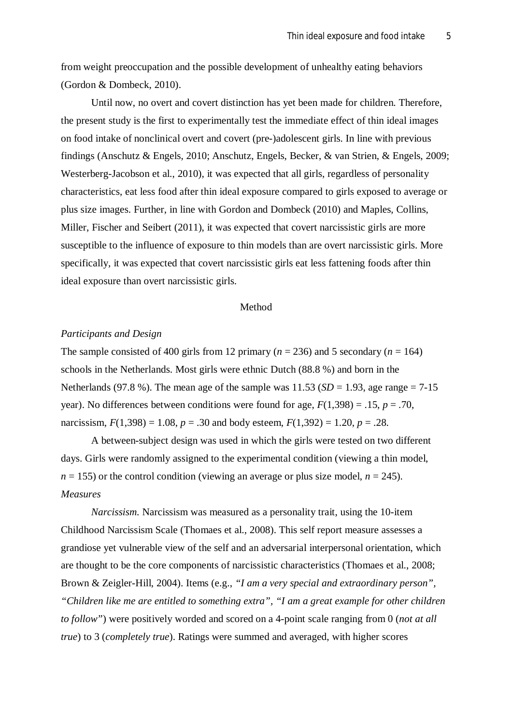from weight preoccupation and the possible development of unhealthy eating behaviors (Gordon & Dombeck, 2010).

Until now, no overt and covert distinction has yet been made for children. Therefore, the present study is the first to experimentally test the immediate effect of thin ideal images on food intake of nonclinical overt and covert (pre-)adolescent girls. In line with previous findings (Anschutz & Engels, 2010; Anschutz, Engels, Becker, & van Strien, & Engels, 2009; Westerberg-Jacobson et al., 2010), it was expected that all girls, regardless of personality characteristics, eat less food after thin ideal exposure compared to girls exposed to average or plus size images. Further, in line with Gordon and Dombeck (2010) and Maples, Collins, Miller, Fischer and Seibert (2011), it was expected that covert narcissistic girls are more susceptible to the influence of exposure to thin models than are overt narcissistic girls. More specifically, it was expected that covert narcissistic girls eat less fattening foods after thin ideal exposure than overt narcissistic girls.

### Method

## *Participants and Design*

The sample consisted of 400 girls from 12 primary ( $n = 236$ ) and 5 secondary ( $n = 164$ ) schools in the Netherlands. Most girls were ethnic Dutch (88.8 %) and born in the Netherlands (97.8 %). The mean age of the sample was  $11.53$  (*SD* = 1.93, age range = 7-15 year). No differences between conditions were found for age,  $F(1,398) = .15$ ,  $p = .70$ , narcissism,  $F(1,398) = 1.08$ ,  $p = .30$  and body esteem,  $F(1,392) = 1.20$ ,  $p = .28$ .

A between-subject design was used in which the girls were tested on two different days. Girls were randomly assigned to the experimental condition (viewing a thin model,  $n = 155$ ) or the control condition (viewing an average or plus size model,  $n = 245$ ). *Measures*

*Narcissism.* Narcissism was measured as a personality trait, using the 10-item Childhood Narcissism Scale (Thomaes et al., 2008). This self report measure assesses a grandiose yet vulnerable view of the self and an adversarial interpersonal orientation, which are thought to be the core components of narcissistic characteristics (Thomaes et al., 2008; Brown & Zeigler-Hill, 2004). Items (e.g., *"I am a very special and extraordinary person", "Children like me are entitled to something extra", "I am a great example for other children to follow"*) were positively worded and scored on a 4-point scale ranging from 0 (*not at all true*) to 3 (*completely true*). Ratings were summed and averaged, with higher scores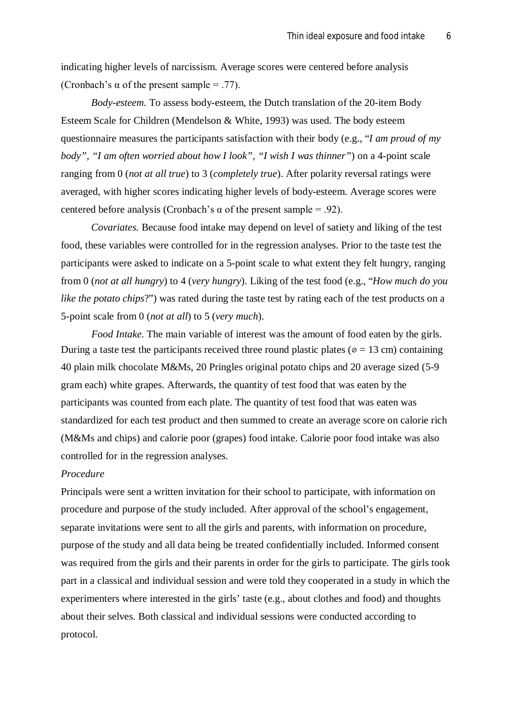indicating higher levels of narcissism. Average scores were centered before analysis (Cronbach's  $\alpha$  of the present sample = .77).

*Body-esteem.* To assess body-esteem, the Dutch translation of the 20-item Body Esteem Scale for Children (Mendelson & White, 1993) was used. The body esteem questionnaire measures the participants satisfaction with their body (e.g., "*I am proud of my body", "I am often worried about how I look", "I wish I was thinner"*) on a 4-point scale ranging from 0 (*not at all true*) to 3 (*completely true*). After polarity reversal ratings were averaged, with higher scores indicating higher levels of body-esteem. Average scores were centered before analysis (Cronbach's  $\alpha$  of the present sample = .92).

*Covariates.* Because food intake may depend on level of satiety and liking of the test food, these variables were controlled for in the regression analyses. Prior to the taste test the participants were asked to indicate on a 5-point scale to what extent they felt hungry, ranging from 0 (*not at all hungry*) to 4 (*very hungry*). Liking of the test food (e.g., "*How much do you like the potato chips?*") was rated during the taste test by rating each of the test products on a 5-point scale from 0 (*not at all*) to 5 (*very much*).

*Food Intake.* The main variable of interest was the amount of food eaten by the girls. During a taste test the participants received three round plastic plates ( $\varphi = 13$  cm) containing 40 plain milk chocolate M&Ms, 20 Pringles original potato chips and 20 average sized (5-9 gram each) white grapes. Afterwards, the quantity of test food that was eaten by the participants was counted from each plate. The quantity of test food that was eaten was standardized for each test product and then summed to create an average score on calorie rich (M&Ms and chips) and calorie poor (grapes) food intake. Calorie poor food intake was also controlled for in the regression analyses.

## *Procedure*

Principals were sent a written invitation for their school to participate, with information on procedure and purpose of the study included. After approval of the school's engagement, separate invitations were sent to all the girls and parents, with information on procedure, purpose of the study and all data being be treated confidentially included. Informed consent was required from the girls and their parents in order for the girls to participate. The girls took part in a classical and individual session and were told they cooperated in a study in which the experimenters where interested in the girls' taste (e.g., about clothes and food) and thoughts about their selves. Both classical and individual sessions were conducted according to protocol.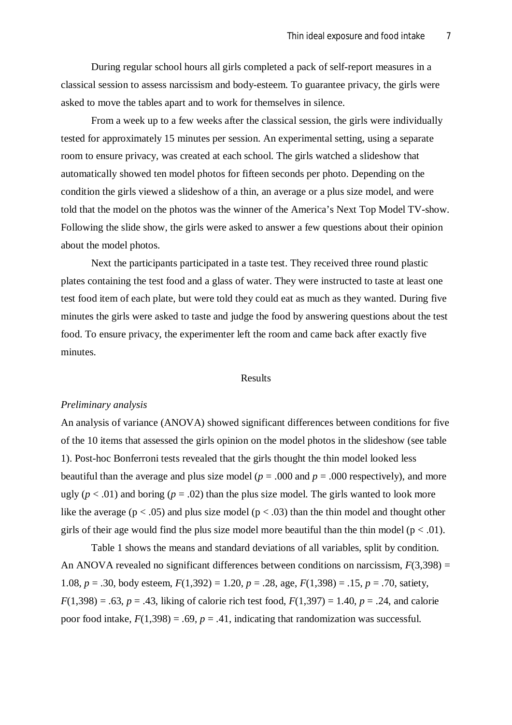During regular school hours all girls completed a pack of self-report measures in a classical session to assess narcissism and body-esteem. To guarantee privacy, the girls were asked to move the tables apart and to work for themselves in silence.

From a week up to a few weeks after the classical session, the girls were individually tested for approximately 15 minutes per session. An experimental setting, using a separate room to ensure privacy, was created at each school. The girls watched a slideshow that automatically showed ten model photos for fifteen seconds per photo. Depending on the condition the girls viewed a slideshow of a thin, an average or a plus size model, and were told that the model on the photos was the winner of the America's Next Top Model TV-show. Following the slide show, the girls were asked to answer a few questions about their opinion about the model photos.

Next the participants participated in a taste test. They received three round plastic plates containing the test food and a glass of water. They were instructed to taste at least one test food item of each plate, but were told they could eat as much as they wanted. During five minutes the girls were asked to taste and judge the food by answering questions about the test food. To ensure privacy, the experimenter left the room and came back after exactly five minutes.

#### Results

#### *Preliminary analysis*

An analysis of variance (ANOVA) showed significant differences between conditions for five of the 10 items that assessed the girls opinion on the model photos in the slideshow (see table 1). Post-hoc Bonferroni tests revealed that the girls thought the thin model looked less beautiful than the average and plus size model ( $p = .000$  and  $p = .000$  respectively), and more ugly ( $p < .01$ ) and boring ( $p = .02$ ) than the plus size model. The girls wanted to look more like the average ( $p < .05$ ) and plus size model ( $p < .03$ ) than the thin model and thought other girls of their age would find the plus size model more beautiful than the thin model ( $p < .01$ ).

Table 1 shows the means and standard deviations of all variables, split by condition. An ANOVA revealed no significant differences between conditions on narcissism,  $F(3,398) =$ 1.08, *p* = .30, body esteem, *F*(1,392) = 1.20, *p* = .28, age, *F*(1,398) = .15, *p* = .70, satiety,  $F(1,398) = .63$ ,  $p = .43$ , liking of calorie rich test food,  $F(1,397) = 1.40$ ,  $p = .24$ , and calorie poor food intake,  $F(1,398) = .69$ ,  $p = .41$ , indicating that randomization was successful.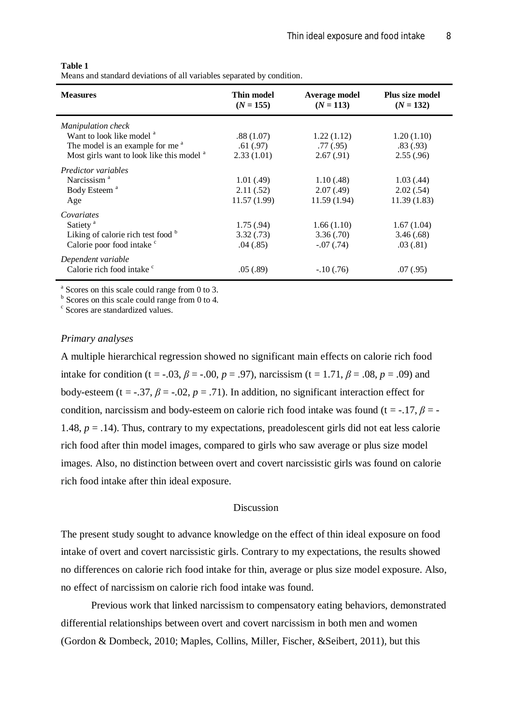#### **Table 1**

Means and standard deviations of all variables separated by condition.

| <b>Measures</b>                                      | Thin model<br>$(N = 155)$ | Average model<br>$(N = 113)$ | <b>Plus size model</b><br>$(N = 132)$ |
|------------------------------------------------------|---------------------------|------------------------------|---------------------------------------|
| <b>Manipulation check</b>                            |                           |                              |                                       |
| Want to look like model <sup>a</sup>                 | .88(1.07)                 | 1.22(1.12)                   | 1.20(1.10)                            |
| The model is an example for me <sup>a</sup>          | .61(.97)                  | .77(0.95)                    | .83(.93)                              |
| Most girls want to look like this model <sup>a</sup> | 2.33(1.01)                | 2.67(0.91)                   | 2.55(.96)                             |
| <i>Predictor variables</i>                           |                           |                              |                                       |
| Narcissism <sup>a</sup>                              | 1.01(0.49)                | 1.10(0.48)                   | 1.03(0.44)                            |
| Body Esteem <sup>a</sup>                             | 2.11(.52)                 | 2.07(0.49)                   | 2.02(.54)                             |
| Age                                                  | 11.57(1.99)               | 11.59(1.94)                  | 11.39(1.83)                           |
| Covariates                                           |                           |                              |                                       |
| Satiety <sup>a</sup>                                 | 1.75(.94)                 | 1.66(1.10)                   | 1.67(1.04)                            |
| Liking of calorie rich test food $\overline{b}$      | 3.32(0.73)                | 3.36(.70)                    | 3.46(.68)                             |
| Calorie poor food intake <sup>c</sup>                | .04(.85)                  | $-.07(.74)$                  | .03(.81)                              |
| Dependent variable                                   |                           |                              |                                       |
| Calorie rich food intake <sup>c</sup>                | .05(.89)                  | $-.10(.76)$                  | .07(.95)                              |

a Scores on this scale could range from 0 to 3.

<sup>b</sup> Scores on this scale could range from 0 to 4.

c Scores are standardized values.

### *Primary analyses*

A multiple hierarchical regression showed no significant main effects on calorie rich food intake for condition (t = -.03,  $\beta$  = -.00,  $p = .97$ ), narcissism (t = 1.71,  $\beta$  = .08,  $p = .09$ ) and body-esteem (t = -.37,  $\beta$  = -.02,  $p = .71$ ). In addition, no significant interaction effect for condition, narcissism and body-esteem on calorie rich food intake was found ( $t = -17$ ,  $\beta = -1$ 1.48, *p* = .14). Thus, contrary to my expectations, preadolescent girls did not eat less calorie rich food after thin model images, compared to girls who saw average or plus size model images. Also, no distinction between overt and covert narcissistic girls was found on calorie rich food intake after thin ideal exposure.

#### Discussion

The present study sought to advance knowledge on the effect of thin ideal exposure on food intake of overt and covert narcissistic girls. Contrary to my expectations, the results showed no differences on calorie rich food intake for thin, average or plus size model exposure. Also, no effect of narcissism on calorie rich food intake was found.

Previous work that linked narcissism to compensatory eating behaviors, demonstrated differential relationships between overt and covert narcissism in both men and women (Gordon & Dombeck, 2010; Maples, Collins, Miller, Fischer, &Seibert, 2011), but this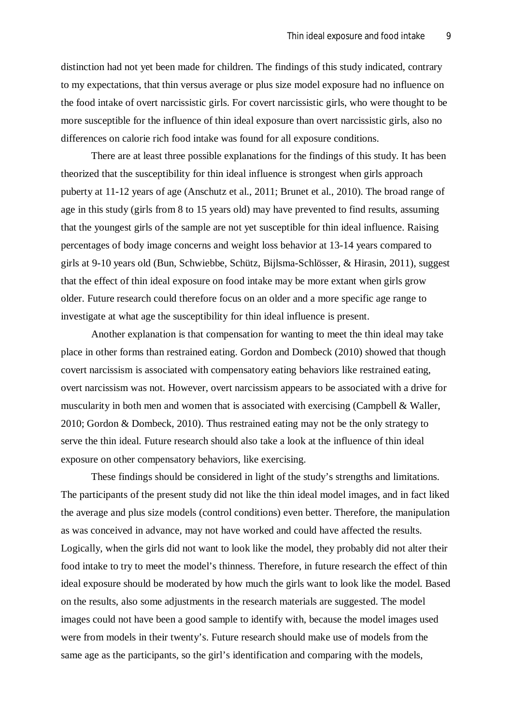distinction had not yet been made for children. The findings of this study indicated, contrary to my expectations, that thin versus average or plus size model exposure had no influence on the food intake of overt narcissistic girls. For covert narcissistic girls, who were thought to be more susceptible for the influence of thin ideal exposure than overt narcissistic girls, also no differences on calorie rich food intake was found for all exposure conditions.

There are at least three possible explanations for the findings of this study. It has been theorized that the susceptibility for thin ideal influence is strongest when girls approach puberty at 11-12 years of age (Anschutz et al., 2011; Brunet et al., 2010). The broad range of age in this study (girls from 8 to 15 years old) may have prevented to find results, assuming that the youngest girls of the sample are not yet susceptible for thin ideal influence. Raising percentages of body image concerns and weight loss behavior at 13-14 years compared to girls at 9-10 years old (Bun, Schwiebbe, Schütz, Bijlsma-Schlösser, & Hirasin, 2011), suggest that the effect of thin ideal exposure on food intake may be more extant when girls grow older. Future research could therefore focus on an older and a more specific age range to investigate at what age the susceptibility for thin ideal influence is present.

Another explanation is that compensation for wanting to meet the thin ideal may take place in other forms than restrained eating. Gordon and Dombeck (2010) showed that though covert narcissism is associated with compensatory eating behaviors like restrained eating, overt narcissism was not. However, overt narcissism appears to be associated with a drive for muscularity in both men and women that is associated with exercising (Campbell & Waller, 2010; Gordon & Dombeck, 2010). Thus restrained eating may not be the only strategy to serve the thin ideal. Future research should also take a look at the influence of thin ideal exposure on other compensatory behaviors, like exercising.

These findings should be considered in light of the study's strengths and limitations. The participants of the present study did not like the thin ideal model images, and in fact liked the average and plus size models (control conditions) even better. Therefore, the manipulation as was conceived in advance, may not have worked and could have affected the results. Logically, when the girls did not want to look like the model, they probably did not alter their food intake to try to meet the model's thinness. Therefore, in future research the effect of thin ideal exposure should be moderated by how much the girls want to look like the model. Based on the results, also some adjustments in the research materials are suggested. The model images could not have been a good sample to identify with, because the model images used were from models in their twenty's. Future research should make use of models from the same age as the participants, so the girl's identification and comparing with the models,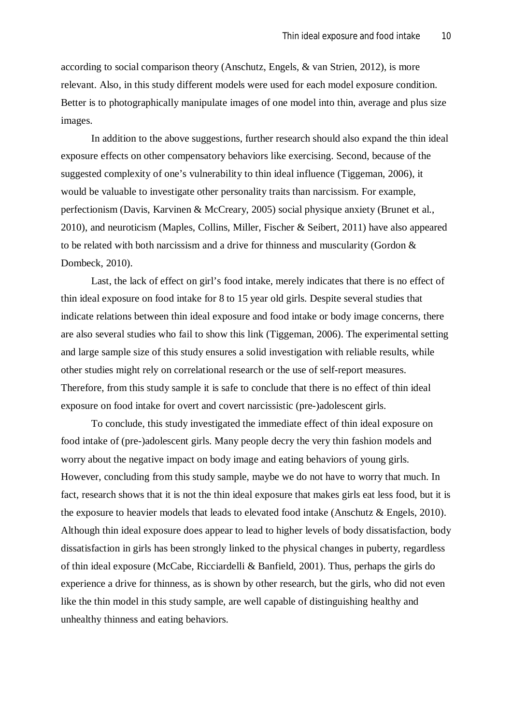according to social comparison theory (Anschutz, Engels, & van Strien, 2012), is more relevant. Also, in this study different models were used for each model exposure condition. Better is to photographically manipulate images of one model into thin, average and plus size images.

In addition to the above suggestions, further research should also expand the thin ideal exposure effects on other compensatory behaviors like exercising. Second, because of the suggested complexity of one's vulnerability to thin ideal influence (Tiggeman, 2006), it would be valuable to investigate other personality traits than narcissism. For example, perfectionism (Davis, Karvinen & McCreary, 2005) social physique anxiety (Brunet et al., 2010), and neuroticism (Maples, Collins, Miller, Fischer & Seibert, 2011) have also appeared to be related with both narcissism and a drive for thinness and muscularity (Gordon & Dombeck, 2010).

Last, the lack of effect on girl's food intake, merely indicates that there is no effect of thin ideal exposure on food intake for 8 to 15 year old girls. Despite several studies that indicate relations between thin ideal exposure and food intake or body image concerns, there are also several studies who fail to show this link (Tiggeman, 2006). The experimental setting and large sample size of this study ensures a solid investigation with reliable results, while other studies might rely on correlational research or the use of self-report measures. Therefore, from this study sample it is safe to conclude that there is no effect of thin ideal exposure on food intake for overt and covert narcissistic (pre-)adolescent girls.

To conclude, this study investigated the immediate effect of thin ideal exposure on food intake of (pre-)adolescent girls. Many people decry the very thin fashion models and worry about the negative impact on body image and eating behaviors of young girls. However, concluding from this study sample, maybe we do not have to worry that much. In fact, research shows that it is not the thin ideal exposure that makes girls eat less food, but it is the exposure to heavier models that leads to elevated food intake (Anschutz & Engels, 2010). Although thin ideal exposure does appear to lead to higher levels of body dissatisfaction, body dissatisfaction in girls has been strongly linked to the physical changes in puberty, regardless of thin ideal exposure (McCabe, Ricciardelli & Banfield, 2001). Thus, perhaps the girls do experience a drive for thinness, as is shown by other research, but the girls, who did not even like the thin model in this study sample, are well capable of distinguishing healthy and unhealthy thinness and eating behaviors.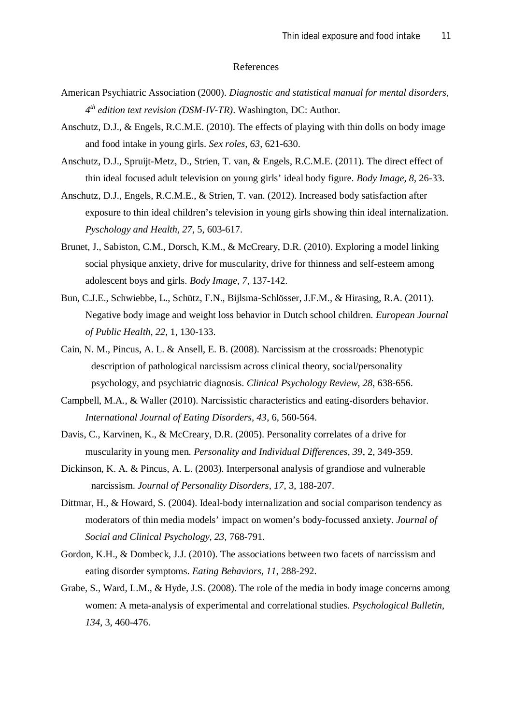#### References

- American Psychiatric Association (2000). *Diagnostic and statistical manual for mental disorders, 4 th edition text revision (DSM-IV-TR)*. Washington, DC: Author.
- Anschutz, D.J., & Engels, R.C.M.E. (2010). The effects of playing with thin dolls on body image and food intake in young girls. *Sex roles, 63*, 621-630.
- Anschutz, D.J., Spruijt-Metz, D., Strien, T. van, & Engels, R.C.M.E. (2011). The direct effect of thin ideal focused adult television on young girls' ideal body figure. *Body Image, 8*, 26-33.
- Anschutz, D.J., Engels, R.C.M.E., & Strien, T. van. (2012). Increased body satisfaction after exposure to thin ideal children's television in young girls showing thin ideal internalization. *Pyschology and Health, 27*, 5, 603-617.
- Brunet, J., Sabiston, C.M., Dorsch, K.M., & McCreary, D.R. (2010). Exploring a model linking social physique anxiety, drive for muscularity, drive for thinness and self-esteem among adolescent boys and girls. *Body Image, 7*, 137-142.
- Bun, C.J.E., Schwiebbe, L., Schütz, F.N., Bijlsma-Schlösser, J.F.M., & Hirasing, R.A. (2011). Negative body image and weight loss behavior in Dutch school children. *European Journal of Public Health, 22,* 1, 130-133.
- Cain, N. M., Pincus, A. L. & Ansell, E. B. (2008). Narcissism at the crossroads: Phenotypic description of pathological narcissism across clinical theory, social/personality psychology, and psychiatric diagnosis. *Clinical Psychology Review, 28*, 638-656.
- Campbell, M.A., & Waller (2010). Narcissistic characteristics and eating-disorders behavior. *International Journal of Eating Disorders, 43*, 6, 560-564.
- Davis, C., Karvinen, K., & McCreary, D.R. (2005). Personality correlates of a drive for muscularity in young men. *Personality and Individual Differences, 39*, 2, 349-359.
- Dickinson, K. A. & Pincus, A. L. (2003). Interpersonal analysis of grandiose and vulnerable narcissism. *Journal of Personality Disorders, 17,* 3, 188-207.
- Dittmar, H., & Howard, S. (2004). Ideal-body internalization and social comparison tendency as moderators of thin media models' impact on women's body-focussed anxiety. *Journal of Social and Clinical Psychology, 23,* 768-791.
- Gordon, K.H., & Dombeck, J.J. (2010). The associations between two facets of narcissism and eating disorder symptoms. *Eating Behaviors, 11*, 288-292.
- Grabe, S., Ward, L.M., & Hyde, J.S. (2008). The role of the media in body image concerns among women: A meta-analysis of experimental and correlational studies. *Psychological Bulletin, 134*, 3, 460-476.